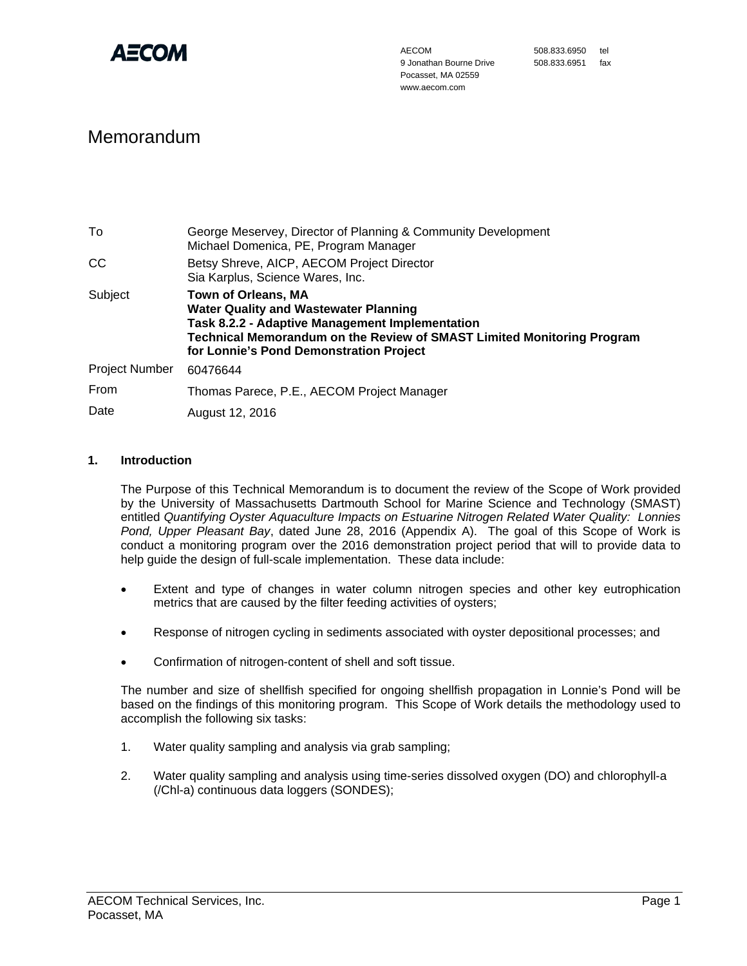

# Memorandum

| To                    | George Meservey, Director of Planning & Community Development<br>Michael Domenica, PE, Program Manager                                                                                                                                                           |  |
|-----------------------|------------------------------------------------------------------------------------------------------------------------------------------------------------------------------------------------------------------------------------------------------------------|--|
| <b>CC</b>             | Betsy Shreve, AICP, AECOM Project Director<br>Sia Karplus, Science Wares, Inc.                                                                                                                                                                                   |  |
| Subject               | <b>Town of Orleans, MA</b><br><b>Water Quality and Wastewater Planning</b><br><b>Task 8.2.2 - Adaptive Management Implementation</b><br><b>Technical Memorandum on the Review of SMAST Limited Monitoring Program</b><br>for Lonnie's Pond Demonstration Project |  |
| <b>Project Number</b> | 60476644                                                                                                                                                                                                                                                         |  |
| From                  | Thomas Parece, P.E., AECOM Project Manager                                                                                                                                                                                                                       |  |
| Date                  | August 12, 2016                                                                                                                                                                                                                                                  |  |

### **1. Introduction**

The Purpose of this Technical Memorandum is to document the review of the Scope of Work provided by the University of Massachusetts Dartmouth School for Marine Science and Technology (SMAST) entitled *Quantifying Oyster Aquaculture Impacts on Estuarine Nitrogen Related Water Quality: Lonnies Pond, Upper Pleasant Bay*, dated June 28, 2016 (Appendix A). The goal of this Scope of Work is conduct a monitoring program over the 2016 demonstration project period that will to provide data to help guide the design of full-scale implementation. These data include:

- Extent and type of changes in water column nitrogen species and other key eutrophication metrics that are caused by the filter feeding activities of oysters;
- Response of nitrogen cycling in sediments associated with oyster depositional processes; and
- Confirmation of nitrogen-content of shell and soft tissue.

The number and size of shellfish specified for ongoing shellfish propagation in Lonnie's Pond will be based on the findings of this monitoring program. This Scope of Work details the methodology used to accomplish the following six tasks:

- 1. Water quality sampling and analysis via grab sampling;
- 2. Water quality sampling and analysis using time-series dissolved oxygen (DO) and chlorophyll-a (/Chl-a) continuous data loggers (SONDES);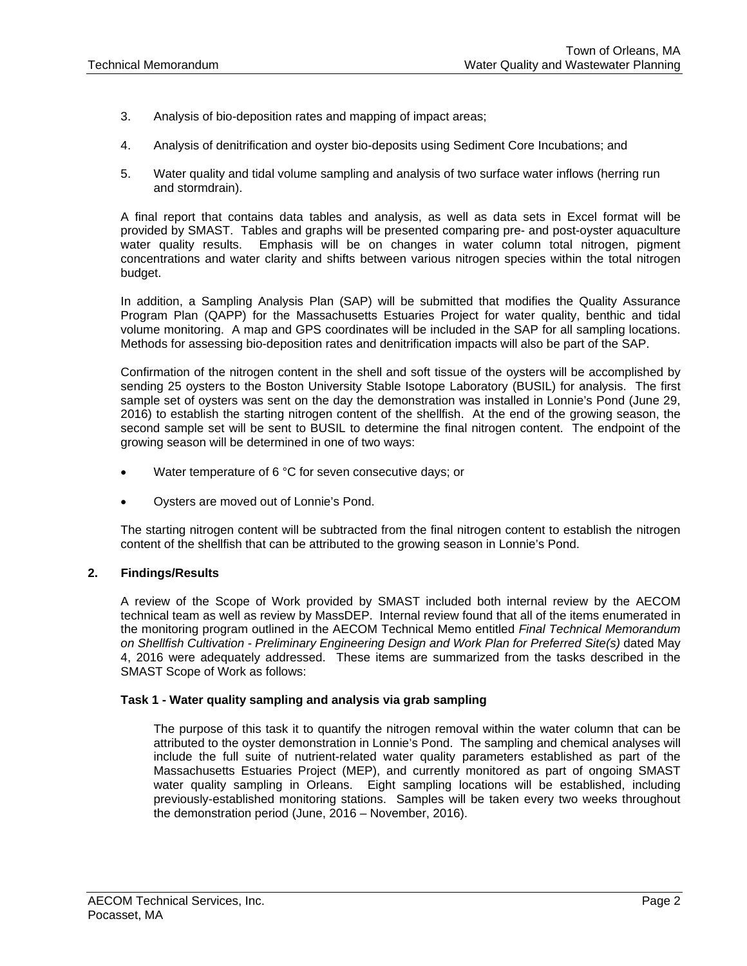- 3. Analysis of bio-deposition rates and mapping of impact areas;
- 4. Analysis of denitrification and oyster bio-deposits using Sediment Core Incubations; and
- 5. Water quality and tidal volume sampling and analysis of two surface water inflows (herring run and stormdrain).

A final report that contains data tables and analysis, as well as data sets in Excel format will be provided by SMAST. Tables and graphs will be presented comparing pre- and post-oyster aquaculture water quality results. Emphasis will be on changes in water column total nitrogen, pigment concentrations and water clarity and shifts between various nitrogen species within the total nitrogen budget.

In addition, a Sampling Analysis Plan (SAP) will be submitted that modifies the Quality Assurance Program Plan (QAPP) for the Massachusetts Estuaries Project for water quality, benthic and tidal volume monitoring. A map and GPS coordinates will be included in the SAP for all sampling locations. Methods for assessing bio-deposition rates and denitrification impacts will also be part of the SAP.

Confirmation of the nitrogen content in the shell and soft tissue of the oysters will be accomplished by sending 25 oysters to the Boston University Stable Isotope Laboratory (BUSIL) for analysis. The first sample set of oysters was sent on the day the demonstration was installed in Lonnie's Pond (June 29, 2016) to establish the starting nitrogen content of the shellfish. At the end of the growing season, the second sample set will be sent to BUSIL to determine the final nitrogen content. The endpoint of the growing season will be determined in one of two ways:

- Water temperature of 6 °C for seven consecutive days; or
- Oysters are moved out of Lonnie's Pond.

The starting nitrogen content will be subtracted from the final nitrogen content to establish the nitrogen content of the shellfish that can be attributed to the growing season in Lonnie's Pond.

## **2. Findings/Results**

A review of the Scope of Work provided by SMAST included both internal review by the AECOM technical team as well as review by MassDEP. Internal review found that all of the items enumerated in the monitoring program outlined in the AECOM Technical Memo entitled *Final Technical Memorandum on Shellfish Cultivation - Preliminary Engineering Design and Work Plan for Preferred Site(s)* dated May 4, 2016 were adequately addressed. These items are summarized from the tasks described in the SMAST Scope of Work as follows:

### **Task 1 - Water quality sampling and analysis via grab sampling**

The purpose of this task it to quantify the nitrogen removal within the water column that can be attributed to the oyster demonstration in Lonnie's Pond. The sampling and chemical analyses will include the full suite of nutrient-related water quality parameters established as part of the Massachusetts Estuaries Project (MEP), and currently monitored as part of ongoing SMAST water quality sampling in Orleans. Eight sampling locations will be established, including previously-established monitoring stations. Samples will be taken every two weeks throughout the demonstration period (June, 2016 – November, 2016).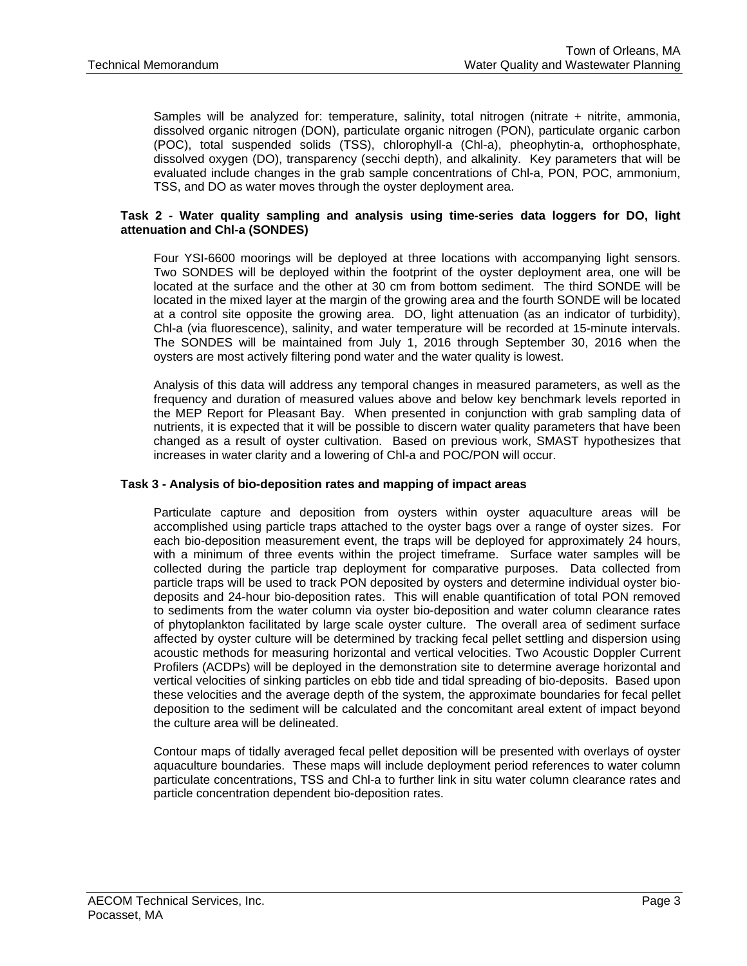Samples will be analyzed for: temperature, salinity, total nitrogen (nitrate + nitrite, ammonia, dissolved organic nitrogen (DON), particulate organic nitrogen (PON), particulate organic carbon (POC), total suspended solids (TSS), chlorophyll-a (Chl-a), pheophytin-a, orthophosphate, dissolved oxygen (DO), transparency (secchi depth), and alkalinity. Key parameters that will be evaluated include changes in the grab sample concentrations of Chl-a, PON, POC, ammonium, TSS, and DO as water moves through the oyster deployment area.

## **Task 2 - Water quality sampling and analysis using time-series data loggers for DO, light attenuation and Chl-a (SONDES)**

Four YSI-6600 moorings will be deployed at three locations with accompanying light sensors. Two SONDES will be deployed within the footprint of the oyster deployment area, one will be located at the surface and the other at 30 cm from bottom sediment. The third SONDE will be located in the mixed layer at the margin of the growing area and the fourth SONDE will be located at a control site opposite the growing area. DO, light attenuation (as an indicator of turbidity), Chl-a (via fluorescence), salinity, and water temperature will be recorded at 15-minute intervals. The SONDES will be maintained from July 1, 2016 through September 30, 2016 when the oysters are most actively filtering pond water and the water quality is lowest.

Analysis of this data will address any temporal changes in measured parameters, as well as the frequency and duration of measured values above and below key benchmark levels reported in the MEP Report for Pleasant Bay. When presented in conjunction with grab sampling data of nutrients, it is expected that it will be possible to discern water quality parameters that have been changed as a result of oyster cultivation. Based on previous work, SMAST hypothesizes that increases in water clarity and a lowering of Chl-a and POC/PON will occur.

### **Task 3 - Analysis of bio-deposition rates and mapping of impact areas**

Particulate capture and deposition from oysters within oyster aquaculture areas will be accomplished using particle traps attached to the oyster bags over a range of oyster sizes. For each bio-deposition measurement event, the traps will be deployed for approximately 24 hours, with a minimum of three events within the project timeframe. Surface water samples will be collected during the particle trap deployment for comparative purposes. Data collected from particle traps will be used to track PON deposited by oysters and determine individual oyster biodeposits and 24-hour bio-deposition rates. This will enable quantification of total PON removed to sediments from the water column via oyster bio-deposition and water column clearance rates of phytoplankton facilitated by large scale oyster culture. The overall area of sediment surface affected by oyster culture will be determined by tracking fecal pellet settling and dispersion using acoustic methods for measuring horizontal and vertical velocities. Two Acoustic Doppler Current Profilers (ACDPs) will be deployed in the demonstration site to determine average horizontal and vertical velocities of sinking particles on ebb tide and tidal spreading of bio-deposits. Based upon these velocities and the average depth of the system, the approximate boundaries for fecal pellet deposition to the sediment will be calculated and the concomitant areal extent of impact beyond the culture area will be delineated.

Contour maps of tidally averaged fecal pellet deposition will be presented with overlays of oyster aquaculture boundaries. These maps will include deployment period references to water column particulate concentrations, TSS and Chl-a to further link in situ water column clearance rates and particle concentration dependent bio-deposition rates.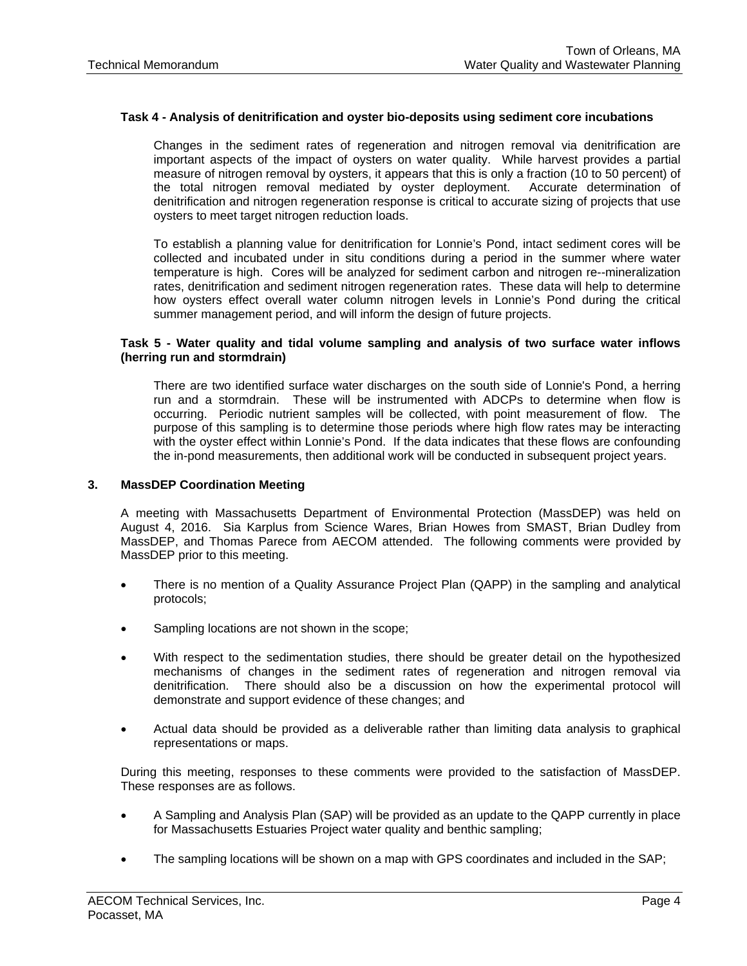### **Task 4 - Analysis of denitrification and oyster bio-deposits using sediment core incubations**

Changes in the sediment rates of regeneration and nitrogen removal via denitrification are important aspects of the impact of oysters on water quality. While harvest provides a partial measure of nitrogen removal by oysters, it appears that this is only a fraction (10 to 50 percent) of the total nitrogen removal mediated by oyster deployment. Accurate determination of denitrification and nitrogen regeneration response is critical to accurate sizing of projects that use oysters to meet target nitrogen reduction loads.

To establish a planning value for denitrification for Lonnie's Pond, intact sediment cores will be collected and incubated under in situ conditions during a period in the summer where water temperature is high. Cores will be analyzed for sediment carbon and nitrogen re--mineralization rates, denitrification and sediment nitrogen regeneration rates. These data will help to determine how oysters effect overall water column nitrogen levels in Lonnie's Pond during the critical summer management period, and will inform the design of future projects.

### **Task 5 - Water quality and tidal volume sampling and analysis of two surface water inflows (herring run and stormdrain)**

There are two identified surface water discharges on the south side of Lonnie's Pond, a herring run and a stormdrain. These will be instrumented with ADCPs to determine when flow is occurring. Periodic nutrient samples will be collected, with point measurement of flow. The purpose of this sampling is to determine those periods where high flow rates may be interacting with the oyster effect within Lonnie's Pond. If the data indicates that these flows are confounding the in-pond measurements, then additional work will be conducted in subsequent project years.

### **3. MassDEP Coordination Meeting**

A meeting with Massachusetts Department of Environmental Protection (MassDEP) was held on August 4, 2016. Sia Karplus from Science Wares, Brian Howes from SMAST, Brian Dudley from MassDEP, and Thomas Parece from AECOM attended. The following comments were provided by MassDEP prior to this meeting.

- There is no mention of a Quality Assurance Project Plan (QAPP) in the sampling and analytical protocols;
- Sampling locations are not shown in the scope;
- With respect to the sedimentation studies, there should be greater detail on the hypothesized mechanisms of changes in the sediment rates of regeneration and nitrogen removal via denitrification. There should also be a discussion on how the experimental protocol will demonstrate and support evidence of these changes; and
- Actual data should be provided as a deliverable rather than limiting data analysis to graphical representations or maps.

During this meeting, responses to these comments were provided to the satisfaction of MassDEP. These responses are as follows.

- A Sampling and Analysis Plan (SAP) will be provided as an update to the QAPP currently in place for Massachusetts Estuaries Project water quality and benthic sampling;
- The sampling locations will be shown on a map with GPS coordinates and included in the SAP;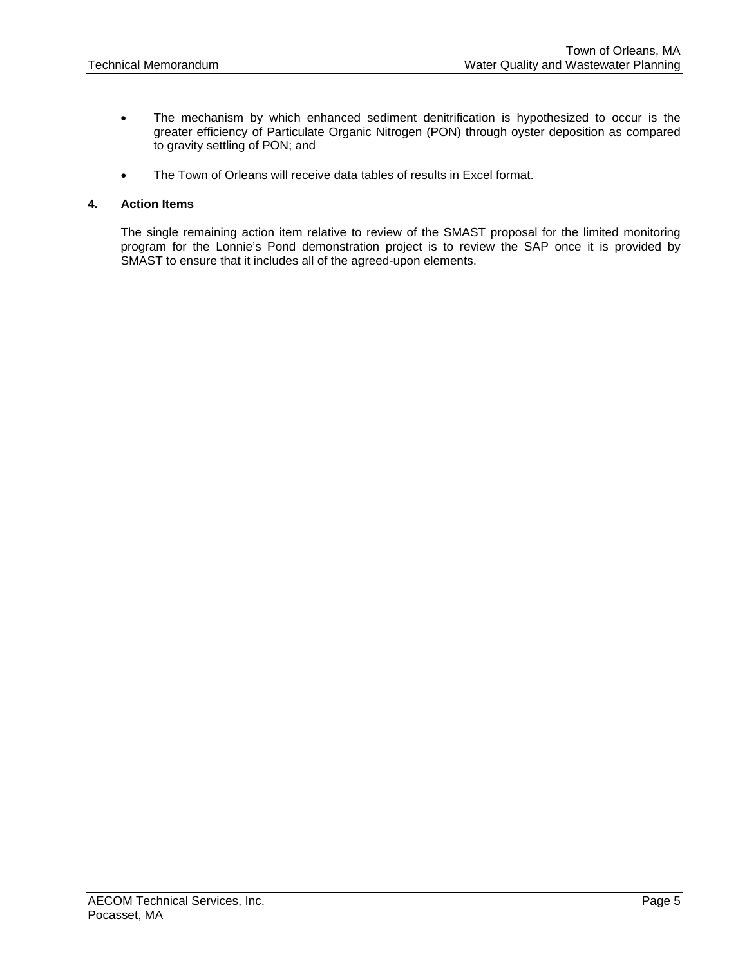- The mechanism by which enhanced sediment denitrification is hypothesized to occur is the greater efficiency of Particulate Organic Nitrogen (PON) through oyster deposition as compared to gravity settling of PON; and
- The Town of Orleans will receive data tables of results in Excel format.

## **4. Action Items**

The single remaining action item relative to review of the SMAST proposal for the limited monitoring program for the Lonnie's Pond demonstration project is to review the SAP once it is provided by SMAST to ensure that it includes all of the agreed-upon elements.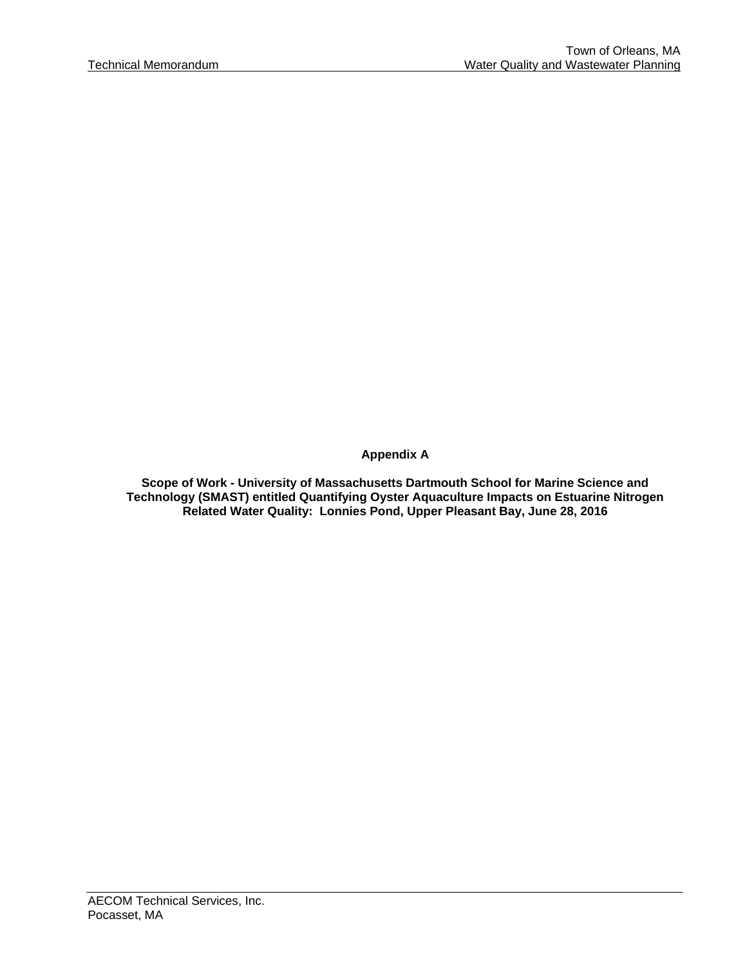**Appendix A** 

**Scope of Work - University of Massachusetts Dartmouth School for Marine Science and Technology (SMAST) entitled Quantifying Oyster Aquaculture Impacts on Estuarine Nitrogen Related Water Quality: Lonnies Pond, Upper Pleasant Bay, June 28, 2016**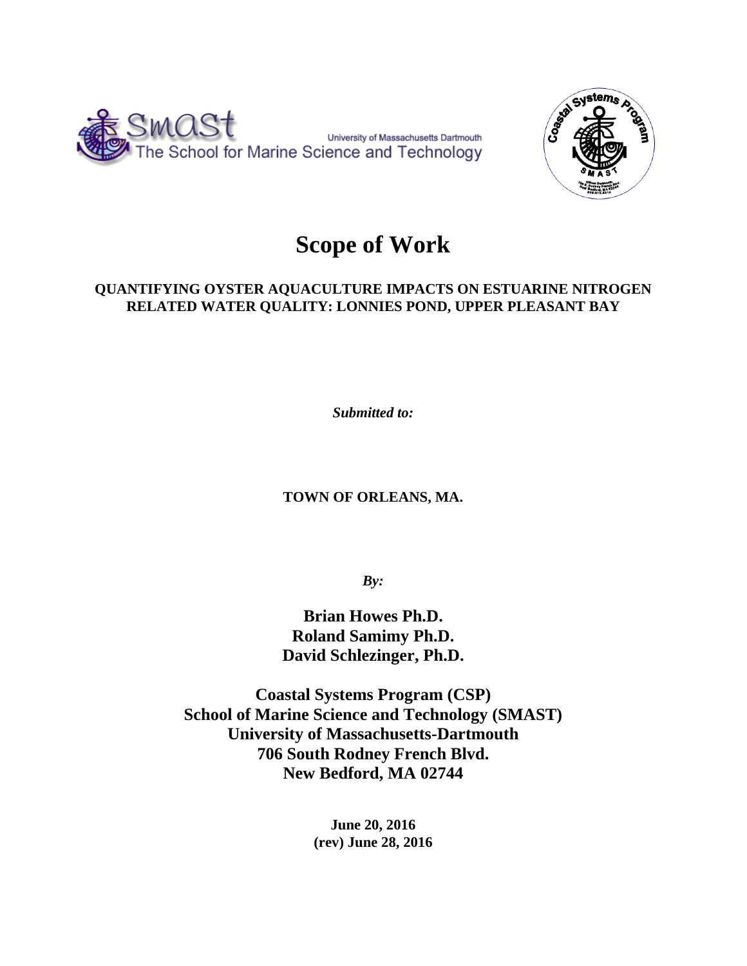



# **Scope of Work**

## **QUANTIFYING OYSTER AQUACULTURE IMPACTS ON ESTUARINE NITROGEN RELATED WATER QUALITY: LONNIES POND, UPPER PLEASANT BAY**

*Submitted to:* 

**TOWN OF ORLEANS, MA.** 

*By:*

**Brian Howes Ph.D. Roland Samimy Ph.D. David Schlezinger, Ph.D.** 

**Coastal Systems Program (CSP) School of Marine Science and Technology (SMAST) University of Massachusetts-Dartmouth 706 South Rodney French Blvd. New Bedford, MA 02744** 

> **June 20, 2016 (rev) June 28, 2016**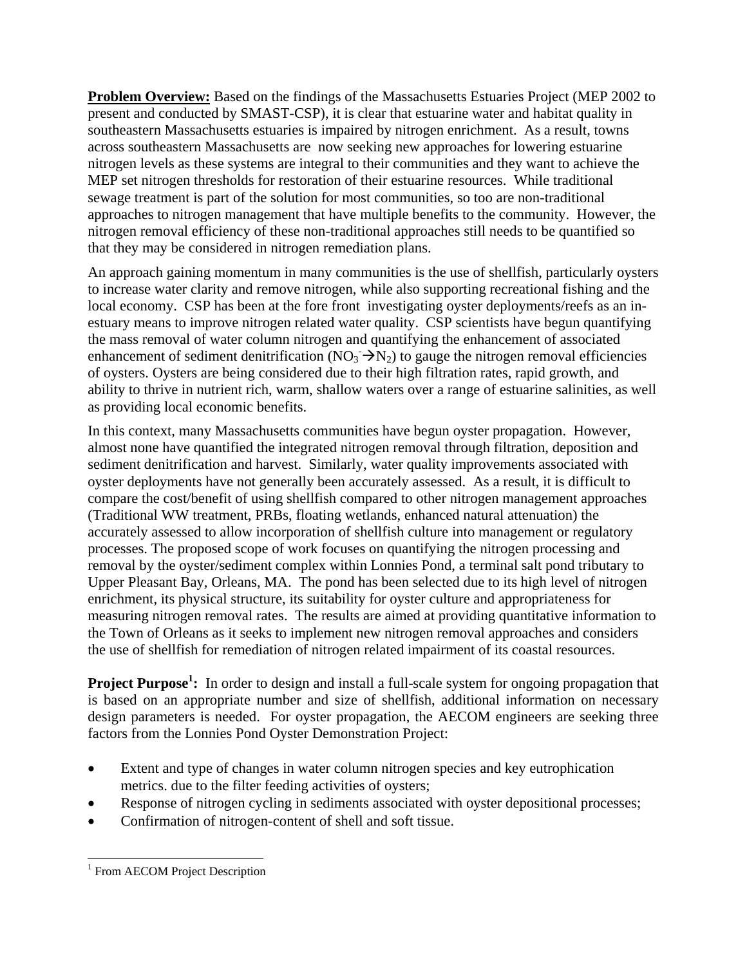**Problem Overview:** Based on the findings of the Massachusetts Estuaries Project (MEP 2002 to present and conducted by SMAST-CSP), it is clear that estuarine water and habitat quality in southeastern Massachusetts estuaries is impaired by nitrogen enrichment. As a result, towns across southeastern Massachusetts are now seeking new approaches for lowering estuarine nitrogen levels as these systems are integral to their communities and they want to achieve the MEP set nitrogen thresholds for restoration of their estuarine resources. While traditional sewage treatment is part of the solution for most communities, so too are non-traditional approaches to nitrogen management that have multiple benefits to the community. However, the nitrogen removal efficiency of these non-traditional approaches still needs to be quantified so that they may be considered in nitrogen remediation plans.

An approach gaining momentum in many communities is the use of shellfish, particularly oysters to increase water clarity and remove nitrogen, while also supporting recreational fishing and the local economy. CSP has been at the fore front investigating oyster deployments/reefs as an inestuary means to improve nitrogen related water quality. CSP scientists have begun quantifying the mass removal of water column nitrogen and quantifying the enhancement of associated enhancement of sediment denitrification (NO<sub>3</sub>  $\rightarrow$  N<sub>2</sub>) to gauge the nitrogen removal efficiencies of oysters. Oysters are being considered due to their high filtration rates, rapid growth, and ability to thrive in nutrient rich, warm, shallow waters over a range of estuarine salinities, as well as providing local economic benefits.

In this context, many Massachusetts communities have begun oyster propagation. However, almost none have quantified the integrated nitrogen removal through filtration, deposition and sediment denitrification and harvest. Similarly, water quality improvements associated with oyster deployments have not generally been accurately assessed. As a result, it is difficult to compare the cost/benefit of using shellfish compared to other nitrogen management approaches (Traditional WW treatment, PRBs, floating wetlands, enhanced natural attenuation) the accurately assessed to allow incorporation of shellfish culture into management or regulatory processes. The proposed scope of work focuses on quantifying the nitrogen processing and removal by the oyster/sediment complex within Lonnies Pond, a terminal salt pond tributary to Upper Pleasant Bay, Orleans, MA. The pond has been selected due to its high level of nitrogen enrichment, its physical structure, its suitability for oyster culture and appropriateness for measuring nitrogen removal rates. The results are aimed at providing quantitative information to the Town of Orleans as it seeks to implement new nitrogen removal approaches and considers the use of shellfish for remediation of nitrogen related impairment of its coastal resources.

**Project Purpose<sup>1</sup>:** In order to design and install a full-scale system for ongoing propagation that is based on an appropriate number and size of shellfish, additional information on necessary design parameters is needed. For oyster propagation, the AECOM engineers are seeking three factors from the Lonnies Pond Oyster Demonstration Project:

- Extent and type of changes in water column nitrogen species and key eutrophication metrics. due to the filter feeding activities of oysters;
- Response of nitrogen cycling in sediments associated with oyster depositional processes;
- Confirmation of nitrogen-content of shell and soft tissue.

 $\overline{\phantom{a}}$ <sup>1</sup> From AECOM Project Description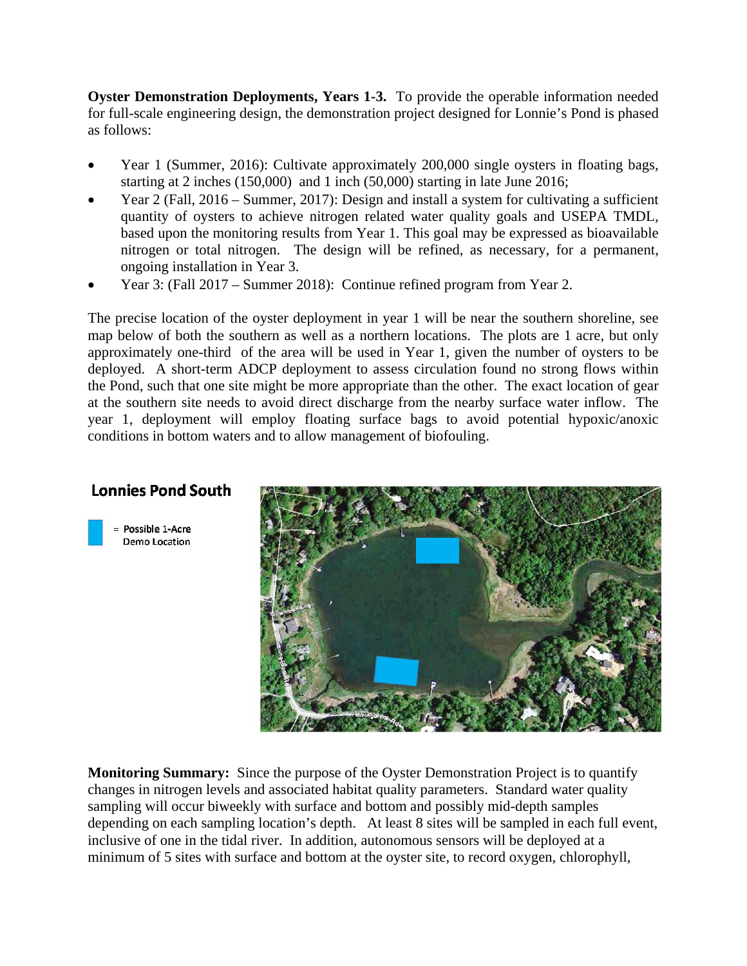**Oyster Demonstration Deployments, Years 1-3.** To provide the operable information needed for full-scale engineering design, the demonstration project designed for Lonnie's Pond is phased as follows:

- Year 1 (Summer, 2016): Cultivate approximately 200,000 single oysters in floating bags, starting at 2 inches (150,000) and 1 inch (50,000) starting in late June 2016;
- Year 2 (Fall, 2016 Summer, 2017): Design and install a system for cultivating a sufficient quantity of oysters to achieve nitrogen related water quality goals and USEPA TMDL, based upon the monitoring results from Year 1. This goal may be expressed as bioavailable nitrogen or total nitrogen. The design will be refined, as necessary, for a permanent, ongoing installation in Year 3.
- Year 3: (Fall 2017 Summer 2018): Continue refined program from Year 2.

The precise location of the oyster deployment in year 1 will be near the southern shoreline, see map below of both the southern as well as a northern locations. The plots are 1 acre, but only approximately one-third of the area will be used in Year 1, given the number of oysters to be deployed. A short-term ADCP deployment to assess circulation found no strong flows within the Pond, such that one site might be more appropriate than the other. The exact location of gear at the southern site needs to avoid direct discharge from the nearby surface water inflow. The year 1, deployment will employ floating surface bags to avoid potential hypoxic/anoxic conditions in bottom waters and to allow management of biofouling.

## **Lonnies Pond South**





**Monitoring Summary:** Since the purpose of the Oyster Demonstration Project is to quantify changes in nitrogen levels and associated habitat quality parameters. Standard water quality sampling will occur biweekly with surface and bottom and possibly mid-depth samples depending on each sampling location's depth. At least 8 sites will be sampled in each full event, inclusive of one in the tidal river. In addition, autonomous sensors will be deployed at a minimum of 5 sites with surface and bottom at the oyster site, to record oxygen, chlorophyll,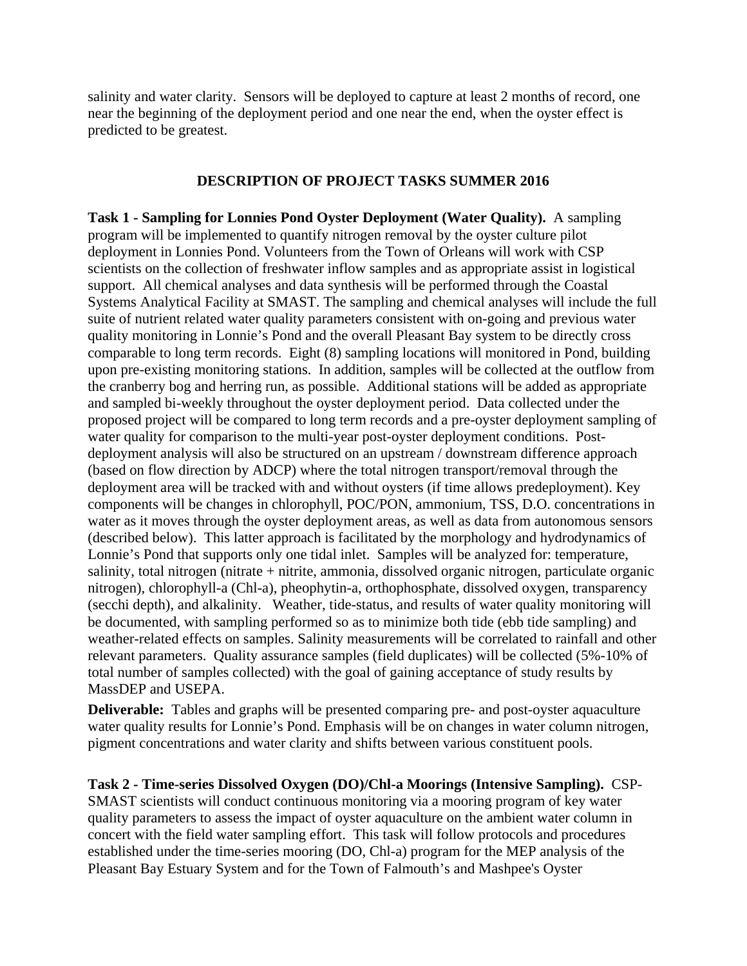salinity and water clarity. Sensors will be deployed to capture at least 2 months of record, one near the beginning of the deployment period and one near the end, when the oyster effect is predicted to be greatest.

## **DESCRIPTION OF PROJECT TASKS SUMMER 2016**

**Task 1 - Sampling for Lonnies Pond Oyster Deployment (Water Quality).** A sampling program will be implemented to quantify nitrogen removal by the oyster culture pilot deployment in Lonnies Pond. Volunteers from the Town of Orleans will work with CSP scientists on the collection of freshwater inflow samples and as appropriate assist in logistical support. All chemical analyses and data synthesis will be performed through the Coastal Systems Analytical Facility at SMAST. The sampling and chemical analyses will include the full suite of nutrient related water quality parameters consistent with on-going and previous water quality monitoring in Lonnie's Pond and the overall Pleasant Bay system to be directly cross comparable to long term records. Eight (8) sampling locations will monitored in Pond, building upon pre-existing monitoring stations. In addition, samples will be collected at the outflow from the cranberry bog and herring run, as possible. Additional stations will be added as appropriate and sampled bi-weekly throughout the oyster deployment period. Data collected under the proposed project will be compared to long term records and a pre-oyster deployment sampling of water quality for comparison to the multi-year post-oyster deployment conditions. Postdeployment analysis will also be structured on an upstream / downstream difference approach (based on flow direction by ADCP) where the total nitrogen transport/removal through the deployment area will be tracked with and without oysters (if time allows predeployment). Key components will be changes in chlorophyll, POC/PON, ammonium, TSS, D.O. concentrations in water as it moves through the oyster deployment areas, as well as data from autonomous sensors (described below). This latter approach is facilitated by the morphology and hydrodynamics of Lonnie's Pond that supports only one tidal inlet. Samples will be analyzed for: temperature, salinity, total nitrogen (nitrate + nitrite, ammonia, dissolved organic nitrogen, particulate organic nitrogen), chlorophyll-a (Chl-a), pheophytin-a, orthophosphate, dissolved oxygen, transparency (secchi depth), and alkalinity. Weather, tide-status, and results of water quality monitoring will be documented, with sampling performed so as to minimize both tide (ebb tide sampling) and weather-related effects on samples. Salinity measurements will be correlated to rainfall and other relevant parameters. Quality assurance samples (field duplicates) will be collected (5%-10% of total number of samples collected) with the goal of gaining acceptance of study results by MassDEP and USEPA.

**Deliverable:** Tables and graphs will be presented comparing pre- and post-oyster aquaculture water quality results for Lonnie's Pond. Emphasis will be on changes in water column nitrogen, pigment concentrations and water clarity and shifts between various constituent pools.

**Task 2 - Time-series Dissolved Oxygen (DO)/Chl-a Moorings (Intensive Sampling).** CSP-SMAST scientists will conduct continuous monitoring via a mooring program of key water quality parameters to assess the impact of oyster aquaculture on the ambient water column in concert with the field water sampling effort. This task will follow protocols and procedures established under the time-series mooring (DO, Chl-a) program for the MEP analysis of the Pleasant Bay Estuary System and for the Town of Falmouth's and Mashpee's Oyster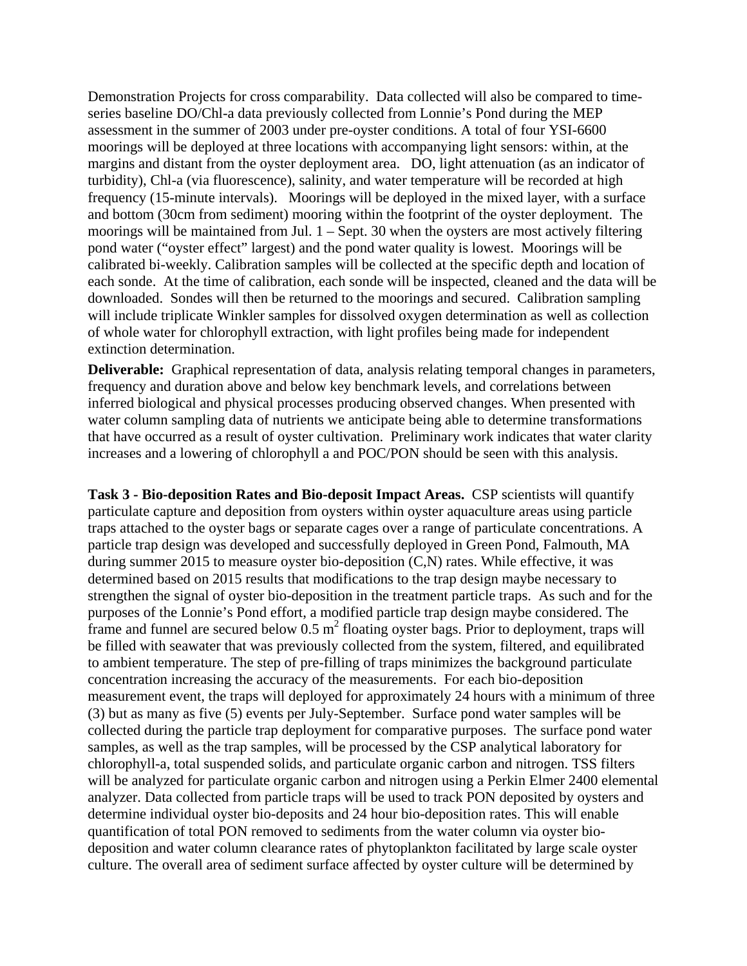Demonstration Projects for cross comparability. Data collected will also be compared to timeseries baseline DO/Chl-a data previously collected from Lonnie's Pond during the MEP assessment in the summer of 2003 under pre-oyster conditions. A total of four YSI-6600 moorings will be deployed at three locations with accompanying light sensors: within, at the margins and distant from the oyster deployment area. DO, light attenuation (as an indicator of turbidity), Chl-a (via fluorescence), salinity, and water temperature will be recorded at high frequency (15-minute intervals). Moorings will be deployed in the mixed layer, with a surface and bottom (30cm from sediment) mooring within the footprint of the oyster deployment. The moorings will be maintained from Jul. 1 – Sept. 30 when the oysters are most actively filtering pond water ("oyster effect" largest) and the pond water quality is lowest. Moorings will be calibrated bi-weekly. Calibration samples will be collected at the specific depth and location of each sonde. At the time of calibration, each sonde will be inspected, cleaned and the data will be downloaded. Sondes will then be returned to the moorings and secured. Calibration sampling will include triplicate Winkler samples for dissolved oxygen determination as well as collection of whole water for chlorophyll extraction, with light profiles being made for independent extinction determination.

**Deliverable:** Graphical representation of data, analysis relating temporal changes in parameters, frequency and duration above and below key benchmark levels, and correlations between inferred biological and physical processes producing observed changes. When presented with water column sampling data of nutrients we anticipate being able to determine transformations that have occurred as a result of oyster cultivation. Preliminary work indicates that water clarity increases and a lowering of chlorophyll a and POC/PON should be seen with this analysis.

**Task 3 - Bio-deposition Rates and Bio-deposit Impact Areas.** CSP scientists will quantify particulate capture and deposition from oysters within oyster aquaculture areas using particle traps attached to the oyster bags or separate cages over a range of particulate concentrations. A particle trap design was developed and successfully deployed in Green Pond, Falmouth, MA during summer 2015 to measure oyster bio-deposition (C,N) rates. While effective, it was determined based on 2015 results that modifications to the trap design maybe necessary to strengthen the signal of oyster bio-deposition in the treatment particle traps. As such and for the purposes of the Lonnie's Pond effort, a modified particle trap design maybe considered. The frame and funnel are secured below  $0.5 \text{ m}^2$  floating oyster bags. Prior to deployment, traps will be filled with seawater that was previously collected from the system, filtered, and equilibrated to ambient temperature. The step of pre-filling of traps minimizes the background particulate concentration increasing the accuracy of the measurements. For each bio-deposition measurement event, the traps will deployed for approximately 24 hours with a minimum of three (3) but as many as five (5) events per July-September. Surface pond water samples will be collected during the particle trap deployment for comparative purposes. The surface pond water samples, as well as the trap samples, will be processed by the CSP analytical laboratory for chlorophyll-a, total suspended solids, and particulate organic carbon and nitrogen. TSS filters will be analyzed for particulate organic carbon and nitrogen using a Perkin Elmer 2400 elemental analyzer. Data collected from particle traps will be used to track PON deposited by oysters and determine individual oyster bio-deposits and 24 hour bio-deposition rates. This will enable quantification of total PON removed to sediments from the water column via oyster biodeposition and water column clearance rates of phytoplankton facilitated by large scale oyster culture. The overall area of sediment surface affected by oyster culture will be determined by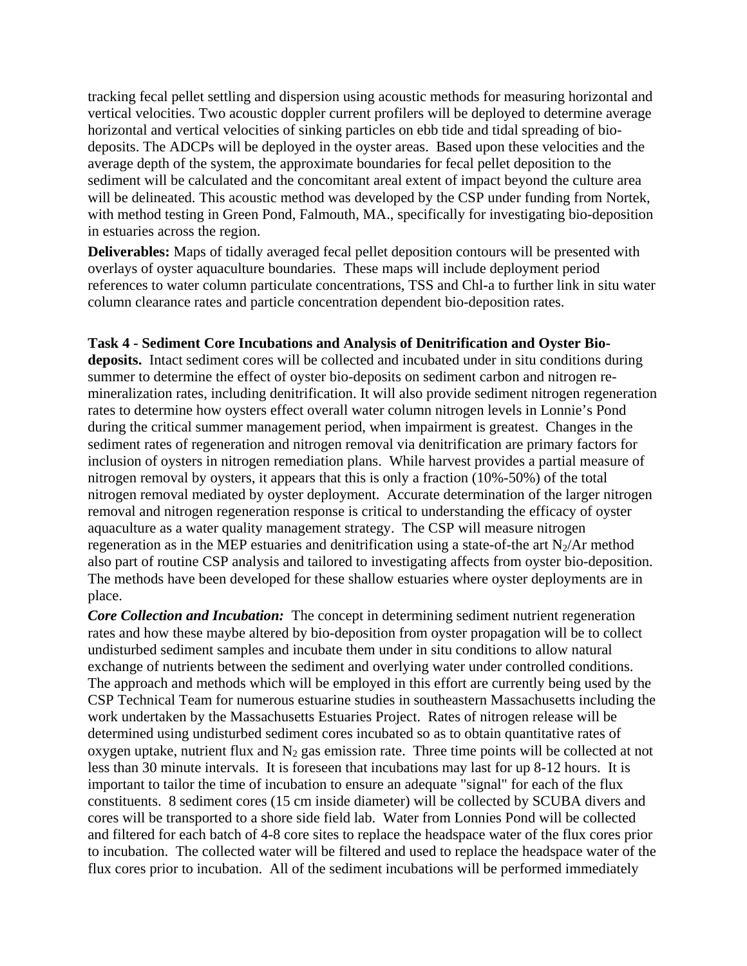tracking fecal pellet settling and dispersion using acoustic methods for measuring horizontal and vertical velocities. Two acoustic doppler current profilers will be deployed to determine average horizontal and vertical velocities of sinking particles on ebb tide and tidal spreading of biodeposits. The ADCPs will be deployed in the oyster areas. Based upon these velocities and the average depth of the system, the approximate boundaries for fecal pellet deposition to the sediment will be calculated and the concomitant areal extent of impact beyond the culture area will be delineated. This acoustic method was developed by the CSP under funding from Nortek, with method testing in Green Pond, Falmouth, MA., specifically for investigating bio-deposition in estuaries across the region.

**Deliverables:** Maps of tidally averaged fecal pellet deposition contours will be presented with overlays of oyster aquaculture boundaries. These maps will include deployment period references to water column particulate concentrations, TSS and Chl-a to further link in situ water column clearance rates and particle concentration dependent bio-deposition rates.

## **Task 4 - Sediment Core Incubations and Analysis of Denitrification and Oyster Bio-**

**deposits.** Intact sediment cores will be collected and incubated under in situ conditions during summer to determine the effect of oyster bio-deposits on sediment carbon and nitrogen remineralization rates, including denitrification. It will also provide sediment nitrogen regeneration rates to determine how oysters effect overall water column nitrogen levels in Lonnie's Pond during the critical summer management period, when impairment is greatest. Changes in the sediment rates of regeneration and nitrogen removal via denitrification are primary factors for inclusion of oysters in nitrogen remediation plans. While harvest provides a partial measure of nitrogen removal by oysters, it appears that this is only a fraction (10%-50%) of the total nitrogen removal mediated by oyster deployment. Accurate determination of the larger nitrogen removal and nitrogen regeneration response is critical to understanding the efficacy of oyster aquaculture as a water quality management strategy. The CSP will measure nitrogen regeneration as in the MEP estuaries and denitrification using a state-of-the art  $N_2/Ar$  method also part of routine CSP analysis and tailored to investigating affects from oyster bio-deposition. The methods have been developed for these shallow estuaries where oyster deployments are in place.

*Core Collection and Incubation:* The concept in determining sediment nutrient regeneration rates and how these maybe altered by bio-deposition from oyster propagation will be to collect undisturbed sediment samples and incubate them under in situ conditions to allow natural exchange of nutrients between the sediment and overlying water under controlled conditions. The approach and methods which will be employed in this effort are currently being used by the CSP Technical Team for numerous estuarine studies in southeastern Massachusetts including the work undertaken by the Massachusetts Estuaries Project. Rates of nitrogen release will be determined using undisturbed sediment cores incubated so as to obtain quantitative rates of oxygen uptake, nutrient flux and  $N_2$  gas emission rate. Three time points will be collected at not less than 30 minute intervals. It is foreseen that incubations may last for up 8-12 hours. It is important to tailor the time of incubation to ensure an adequate "signal" for each of the flux constituents. 8 sediment cores (15 cm inside diameter) will be collected by SCUBA divers and cores will be transported to a shore side field lab. Water from Lonnies Pond will be collected and filtered for each batch of 4-8 core sites to replace the headspace water of the flux cores prior to incubation. The collected water will be filtered and used to replace the headspace water of the flux cores prior to incubation. All of the sediment incubations will be performed immediately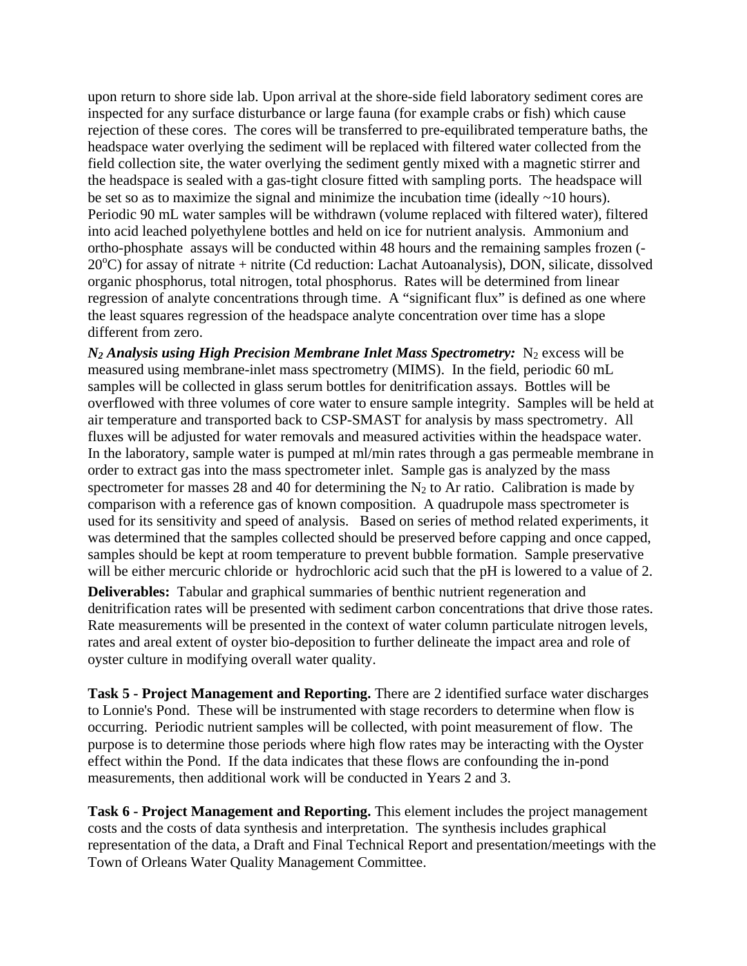upon return to shore side lab. Upon arrival at the shore-side field laboratory sediment cores are inspected for any surface disturbance or large fauna (for example crabs or fish) which cause rejection of these cores. The cores will be transferred to pre-equilibrated temperature baths, the headspace water overlying the sediment will be replaced with filtered water collected from the field collection site, the water overlying the sediment gently mixed with a magnetic stirrer and the headspace is sealed with a gas-tight closure fitted with sampling ports. The headspace will be set so as to maximize the signal and minimize the incubation time (ideally  $\sim$ 10 hours). Periodic 90 mL water samples will be withdrawn (volume replaced with filtered water), filtered into acid leached polyethylene bottles and held on ice for nutrient analysis. Ammonium and ortho-phosphate assays will be conducted within 48 hours and the remaining samples frozen (- 20°C) for assay of nitrate + nitrite (Cd reduction: Lachat Autoanalysis), DON, silicate, dissolved organic phosphorus, total nitrogen, total phosphorus. Rates will be determined from linear regression of analyte concentrations through time. A "significant flux" is defined as one where the least squares regression of the headspace analyte concentration over time has a slope different from zero.

 $N_2$  Analysis using High Precision Membrane Inlet Mass Spectrometry:  $N_2$  excess will be measured using membrane-inlet mass spectrometry (MIMS). In the field, periodic 60 mL samples will be collected in glass serum bottles for denitrification assays. Bottles will be overflowed with three volumes of core water to ensure sample integrity. Samples will be held at air temperature and transported back to CSP-SMAST for analysis by mass spectrometry. All fluxes will be adjusted for water removals and measured activities within the headspace water. In the laboratory, sample water is pumped at ml/min rates through a gas permeable membrane in order to extract gas into the mass spectrometer inlet. Sample gas is analyzed by the mass spectrometer for masses 28 and 40 for determining the  $N_2$  to Ar ratio. Calibration is made by comparison with a reference gas of known composition. A quadrupole mass spectrometer is used for its sensitivity and speed of analysis. Based on series of method related experiments, it was determined that the samples collected should be preserved before capping and once capped, samples should be kept at room temperature to prevent bubble formation. Sample preservative will be either mercuric chloride or hydrochloric acid such that the pH is lowered to a value of 2.

**Deliverables:** Tabular and graphical summaries of benthic nutrient regeneration and denitrification rates will be presented with sediment carbon concentrations that drive those rates. Rate measurements will be presented in the context of water column particulate nitrogen levels, rates and areal extent of oyster bio-deposition to further delineate the impact area and role of oyster culture in modifying overall water quality.

**Task 5 - Project Management and Reporting.** There are 2 identified surface water discharges to Lonnie's Pond. These will be instrumented with stage recorders to determine when flow is occurring. Periodic nutrient samples will be collected, with point measurement of flow. The purpose is to determine those periods where high flow rates may be interacting with the Oyster effect within the Pond. If the data indicates that these flows are confounding the in-pond measurements, then additional work will be conducted in Years 2 and 3.

**Task 6 - Project Management and Reporting.** This element includes the project management costs and the costs of data synthesis and interpretation. The synthesis includes graphical representation of the data, a Draft and Final Technical Report and presentation/meetings with the Town of Orleans Water Quality Management Committee.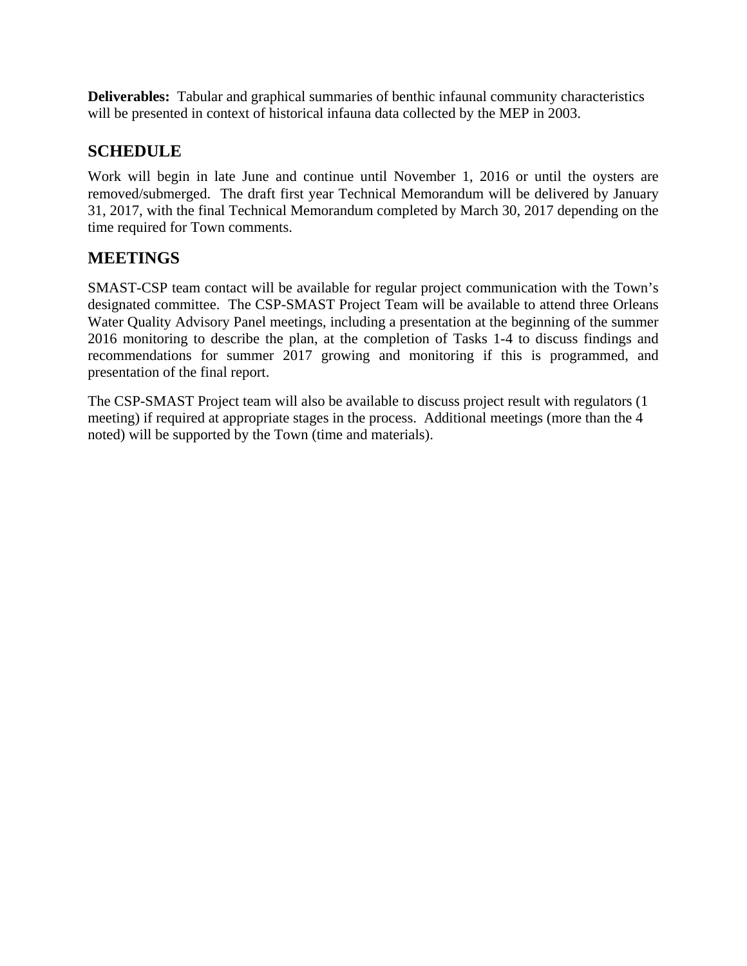**Deliverables:** Tabular and graphical summaries of benthic infaunal community characteristics will be presented in context of historical infauna data collected by the MEP in 2003.

# **SCHEDULE**

Work will begin in late June and continue until November 1, 2016 or until the oysters are removed/submerged. The draft first year Technical Memorandum will be delivered by January 31, 2017, with the final Technical Memorandum completed by March 30, 2017 depending on the time required for Town comments.

# **MEETINGS**

SMAST-CSP team contact will be available for regular project communication with the Town's designated committee. The CSP-SMAST Project Team will be available to attend three Orleans Water Quality Advisory Panel meetings, including a presentation at the beginning of the summer 2016 monitoring to describe the plan, at the completion of Tasks 1-4 to discuss findings and recommendations for summer 2017 growing and monitoring if this is programmed, and presentation of the final report.

The CSP-SMAST Project team will also be available to discuss project result with regulators (1 meeting) if required at appropriate stages in the process. Additional meetings (more than the 4 noted) will be supported by the Town (time and materials).